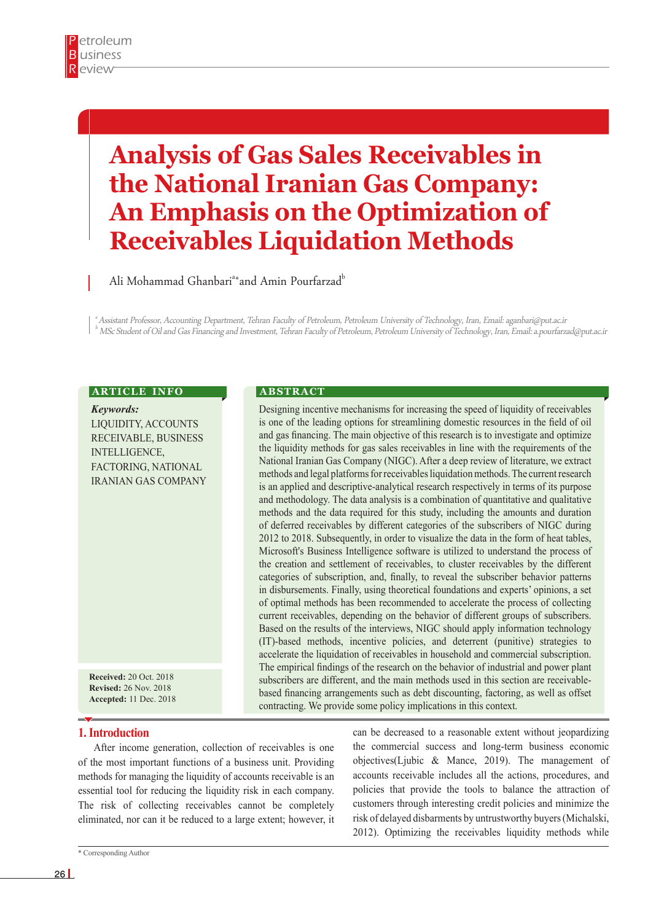# **Analysis of Gas Sales Receivables in the National Iranian Gas Company: An Emphasis on the Optimization of Receivables Liquidation Methods**

Ali Mohammad Ghanbari<sup>a</sup>\*and Amin Pourfarzad<sup>b</sup>

a Assistant Professor, Accounting Department, Tehran Faculty of Petroleum, Petroleum University of Technology, Iran, Email: aganbari@put.ac.ir  $^{\rm b}$  MSc Student of Oil and Gas Financing and Investment, Tehran Faculty of Petroleum, Petroleum University of Technology, Iran, Email: a pourfarzad@put.ac.ir

## **ARTICLE INFO**

*Keywords:* LIQUIDITY, ACCOUNTS RECEIVABLE, BUSINESS INTELLIGENCE, FACTORING, NATIONAL IRANIAN GAS COMPANY

**Received:** 20 Oct. 2018 **Revised:** 26 Nov. 2018 **Accepted:** 11 Dec. 2018

### **1. Introduction**

After income generation, collection of receivables is one of the most important functions of a business unit. Providing methods for managing the liquidity of accounts receivable is an essential tool for reducing the liquidity risk in each company. The risk of collecting receivables cannot be completely eliminated, nor can it be reduced to a large extent; however, it

#### **A B S T R A C T**

Designing incentive mechanisms for increasing the speed of liquidity of receivables is one of the leading options for streamlining domestic resources in the field of oil and gas financing. The main objective of this research is to investigate and optimize the liquidity methods for gas sales receivables in line with the requirements of the National Iranian Gas Company (NIGC). After a deep review of literature, we extract methods and legal platforms for receivables liquidation methods. The current research is an applied and descriptive-analytical research respectively in terms of its purpose and methodology. The data analysis is a combination of quantitative and qualitative methods and the data required for this study, including the amounts and duration of deferred receivables by different categories of the subscribers of NIGC during 2012 to 2018. Subsequently, in order to visualize the data in the form of heat tables, Microsoft's Business Intelligence software is utilized to understand the process of the creation and settlement of receivables, to cluster receivables by the different categories of subscription, and, finally, to reveal the subscriber behavior patterns in disbursements. Finally, using theoretical foundations and experts' opinions, a set of optimal methods has been recommended to accelerate the process of collecting current receivables, depending on the behavior of different groups of subscribers. Based on the results of the interviews, NIGC should apply information technology (IT)-based methods, incentive policies, and deterrent (punitive) strategies to accelerate the liquidation of receivables in household and commercial subscription. The empirical findings of the research on the behavior of industrial and power plant subscribers are different, and the main methods used in this section are receivablebased financing arrangements such as debt discounting, factoring, as well as offset contracting. We provide some policy implications in this context.

> can be decreased to a reasonable extent without jeopardizing the commercial success and long-term business economic objectives(Ljubic & Mance, 2019). The management of accounts receivable includes all the actions, procedures, and policies that provide the tools to balance the attraction of customers through interesting credit policies and minimize the risk of delayed disbarments by untrustworthy buyers (Michalski, 2012). Optimizing the receivables liquidity methods while

<sup>\*</sup> Corresponding Author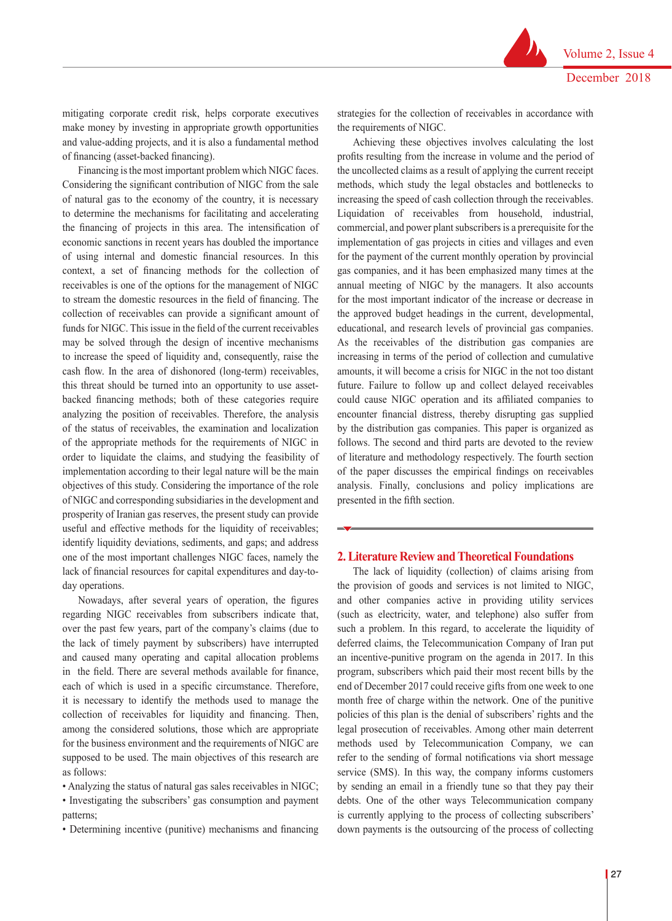mitigating corporate credit risk, helps corporate executives make money by investing in appropriate growth opportunities and value-adding projects, and it is also a fundamental method of financing (asset-backed financing).

Financing is the most important problem which NIGC faces. Considering the significant contribution of NIGC from the sale of natural gas to the economy of the country, it is necessary to determine the mechanisms for facilitating and accelerating the financing of projects in this area. The intensification of economic sanctions in recent years has doubled the importance of using internal and domestic financial resources. In this context, a set of financing methods for the collection of receivables is one of the options for the management of NIGC to stream the domestic resources in the field of financing. The collection of receivables can provide a significant amount of funds for NIGC. This issue in the field of the current receivables may be solved through the design of incentive mechanisms to increase the speed of liquidity and, consequently, raise the cash flow. In the area of dishonored (long-term) receivables, this threat should be turned into an opportunity to use assetbacked financing methods; both of these categories require analyzing the position of receivables. Therefore, the analysis of the status of receivables, the examination and localization of the appropriate methods for the requirements of NIGC in order to liquidate the claims, and studying the feasibility of implementation according to their legal nature will be the main objectives of this study. Considering the importance of the role of NIGC and corresponding subsidiaries in the development and prosperity of Iranian gas reserves, the present study can provide useful and effective methods for the liquidity of receivables; identify liquidity deviations, sediments, and gaps; and address one of the most important challenges NIGC faces, namely the lack of financial resources for capital expenditures and day-today operations.

Nowadays, after several years of operation, the figures regarding NIGC receivables from subscribers indicate that, over the past few years, part of the company's claims (due to the lack of timely payment by subscribers) have interrupted and caused many operating and capital allocation problems in the field. There are several methods available for finance, each of which is used in a specific circumstance. Therefore, it is necessary to identify the methods used to manage the collection of receivables for liquidity and financing. Then, among the considered solutions, those which are appropriate for the business environment and the requirements of NIGC are supposed to be used. The main objectives of this research are as follows:

• Analyzing the status of natural gas sales receivables in NIGC;

• Investigating the subscribers' gas consumption and payment patterns;

• Determining incentive (punitive) mechanisms and financing

strategies for the collection of receivables in accordance with the requirements of NIGC.

Achieving these objectives involves calculating the lost profits resulting from the increase in volume and the period of the uncollected claims as a result of applying the current receipt methods, which study the legal obstacles and bottlenecks to increasing the speed of cash collection through the receivables. Liquidation of receivables from household, industrial, commercial, and power plant subscribers is a prerequisite for the implementation of gas projects in cities and villages and even for the payment of the current monthly operation by provincial gas companies, and it has been emphasized many times at the annual meeting of NIGC by the managers. It also accounts for the most important indicator of the increase or decrease in the approved budget headings in the current, developmental, educational, and research levels of provincial gas companies. As the receivables of the distribution gas companies are increasing in terms of the period of collection and cumulative amounts, it will become a crisis for NIGC in the not too distant future. Failure to follow up and collect delayed receivables could cause NIGC operation and its affiliated companies to encounter financial distress, thereby disrupting gas supplied by the distribution gas companies. This paper is organized as follows. The second and third parts are devoted to the review of literature and methodology respectively. The fourth section of the paper discusses the empirical findings on receivables analysis. Finally, conclusions and policy implications are presented in the fifth section.

#### **2. Literature Review and Theoretical Foundations**

The lack of liquidity (collection) of claims arising from the provision of goods and services is not limited to NIGC, and other companies active in providing utility services (such as electricity, water, and telephone) also suffer from such a problem. In this regard, to accelerate the liquidity of deferred claims, the Telecommunication Company of Iran put an incentive-punitive program on the agenda in 2017. In this program, subscribers which paid their most recent bills by the end of December 2017 could receive gifts from one week to one month free of charge within the network. One of the punitive policies of this plan is the denial of subscribers' rights and the legal prosecution of receivables. Among other main deterrent methods used by Telecommunication Company, we can refer to the sending of formal notifications via short message service (SMS). In this way, the company informs customers by sending an email in a friendly tune so that they pay their debts. One of the other ways Telecommunication company is currently applying to the process of collecting subscribers' down payments is the outsourcing of the process of collecting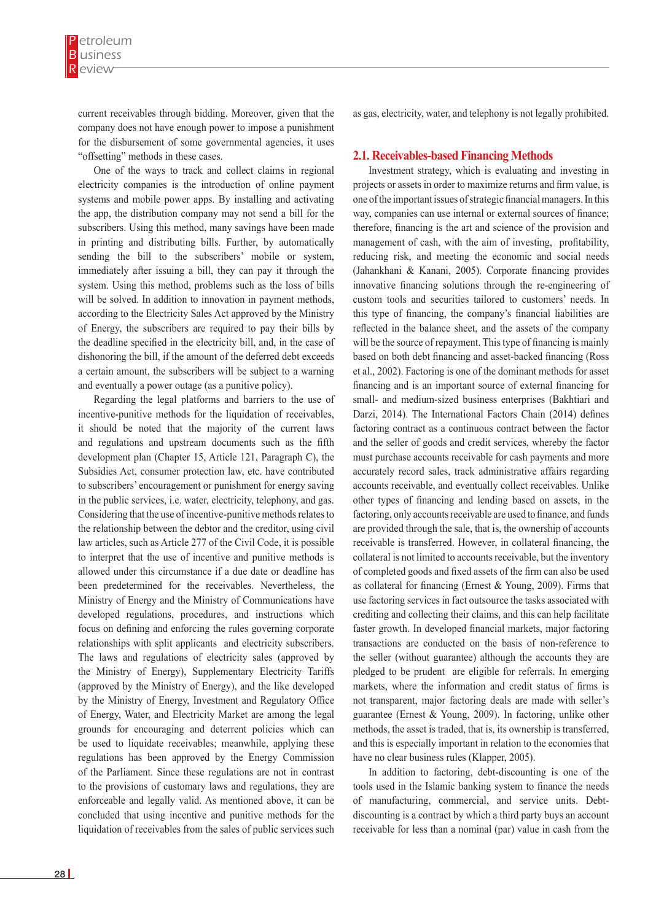current receivables through bidding. Moreover, given that the company does not have enough power to impose a punishment for the disbursement of some governmental agencies, it uses "offsetting" methods in these cases.

One of the ways to track and collect claims in regional electricity companies is the introduction of online payment systems and mobile power apps. By installing and activating the app, the distribution company may not send a bill for the subscribers. Using this method, many savings have been made in printing and distributing bills. Further, by automatically sending the bill to the subscribers' mobile or system, immediately after issuing a bill, they can pay it through the system. Using this method, problems such as the loss of bills will be solved. In addition to innovation in payment methods, according to the Electricity Sales Act approved by the Ministry of Energy, the subscribers are required to pay their bills by the deadline specified in the electricity bill, and, in the case of dishonoring the bill, if the amount of the deferred debt exceeds a certain amount, the subscribers will be subject to a warning and eventually a power outage (as a punitive policy).

Regarding the legal platforms and barriers to the use of incentive-punitive methods for the liquidation of receivables, it should be noted that the majority of the current laws and regulations and upstream documents such as the fifth development plan (Chapter 15, Article 121, Paragraph C), the Subsidies Act, consumer protection law, etc. have contributed to subscribers' encouragement or punishment for energy saving in the public services, i.e. water, electricity, telephony, and gas. Considering that the use of incentive-punitive methods relates to the relationship between the debtor and the creditor, using civil law articles, such as Article 277 of the Civil Code, it is possible to interpret that the use of incentive and punitive methods is allowed under this circumstance if a due date or deadline has been predetermined for the receivables. Nevertheless, the Ministry of Energy and the Ministry of Communications have developed regulations, procedures, and instructions which focus on defining and enforcing the rules governing corporate relationships with split applicants and electricity subscribers. The laws and regulations of electricity sales (approved by the Ministry of Energy), Supplementary Electricity Tariffs (approved by the Ministry of Energy), and the like developed by the Ministry of Energy, Investment and Regulatory Office of Energy, Water, and Electricity Market are among the legal grounds for encouraging and deterrent policies which can be used to liquidate receivables; meanwhile, applying these regulations has been approved by the Energy Commission of the Parliament. Since these regulations are not in contrast to the provisions of customary laws and regulations, they are enforceable and legally valid. As mentioned above, it can be concluded that using incentive and punitive methods for the liquidation of receivables from the sales of public services such

as gas, electricity, water, and telephony is not legally prohibited.

## **2.1. Receivables-based Financing Methods**

Investment strategy, which is evaluating and investing in projects or assets in order to maximize returns and firm value, is one of the important issues of strategic financial managers. In this way, companies can use internal or external sources of finance; therefore, financing is the art and science of the provision and management of cash, with the aim of investing, profitability, reducing risk, and meeting the economic and social needs (Jahankhani & Kanani, 2005). Corporate financing provides innovative financing solutions through the re-engineering of custom tools and securities tailored to customers' needs. In this type of financing, the company's financial liabilities are reflected in the balance sheet, and the assets of the company will be the source of repayment. This type of financing is mainly based on both debt financing and asset-backed financing (Ross et al., 2002). Factoring is one of the dominant methods for asset financing and is an important source of external financing for small- and medium-sized business enterprises (Bakhtiari and Darzi, 2014). The International Factors Chain (2014) defines factoring contract as a continuous contract between the factor and the seller of goods and credit services, whereby the factor must purchase accounts receivable for cash payments and more accurately record sales, track administrative affairs regarding accounts receivable, and eventually collect receivables. Unlike other types of financing and lending based on assets, in the factoring, only accounts receivable are used to finance, and funds are provided through the sale, that is, the ownership of accounts receivable is transferred. However, in collateral financing, the collateral is not limited to accounts receivable, but the inventory of completed goods and fixed assets of the firm can also be used as collateral for financing (Ernest & Young, 2009). Firms that use factoring services in fact outsource the tasks associated with crediting and collecting their claims, and this can help facilitate faster growth. In developed financial markets, major factoring transactions are conducted on the basis of non-reference to the seller (without guarantee) although the accounts they are pledged to be prudent are eligible for referrals. In emerging markets, where the information and credit status of firms is not transparent, major factoring deals are made with seller's guarantee (Ernest & Young, 2009). In factoring, unlike other methods, the asset is traded, that is, its ownership is transferred, and this is especially important in relation to the economies that have no clear business rules (Klapper, 2005).

In addition to factoring, debt-discounting is one of the tools used in the Islamic banking system to finance the needs of manufacturing, commercial, and service units. Debtdiscounting is a contract by which a third party buys an account receivable for less than a nominal (par) value in cash from the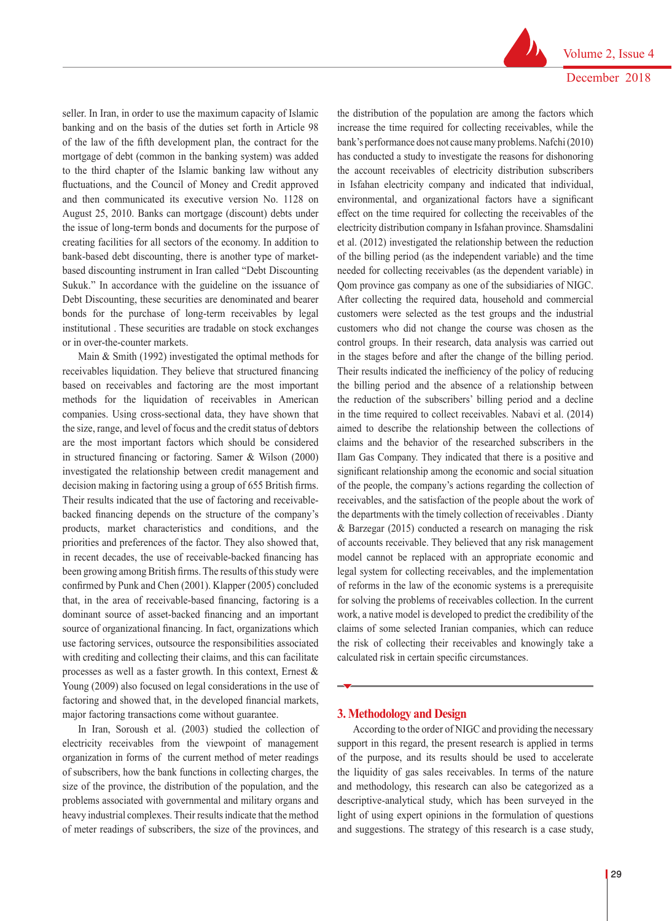seller. In Iran, in order to use the maximum capacity of Islamic banking and on the basis of the duties set forth in Article 98 of the law of the fifth development plan, the contract for the mortgage of debt (common in the banking system) was added to the third chapter of the Islamic banking law without any fluctuations, and the Council of Money and Credit approved and then communicated its executive version No. 1128 on August 25, 2010. Banks can mortgage (discount) debts under the issue of long-term bonds and documents for the purpose of creating facilities for all sectors of the economy. In addition to bank-based debt discounting, there is another type of marketbased discounting instrument in Iran called "Debt Discounting Sukuk." In accordance with the guideline on the issuance of Debt Discounting, these securities are denominated and bearer bonds for the purchase of long-term receivables by legal institutional . These securities are tradable on stock exchanges or in over-the-counter markets.

Main & Smith (1992) investigated the optimal methods for receivables liquidation. They believe that structured financing based on receivables and factoring are the most important methods for the liquidation of receivables in American companies. Using cross-sectional data, they have shown that the size, range, and level of focus and the credit status of debtors are the most important factors which should be considered in structured financing or factoring. Samer & Wilson (2000) investigated the relationship between credit management and decision making in factoring using a group of 655 British firms. Their results indicated that the use of factoring and receivablebacked financing depends on the structure of the company's products, market characteristics and conditions, and the priorities and preferences of the factor. They also showed that, in recent decades, the use of receivable-backed financing has been growing among British firms. The results of this study were confirmed by Punk and Chen (2001). Klapper (2005) concluded that, in the area of receivable-based financing, factoring is a dominant source of asset-backed financing and an important source of organizational financing. In fact, organizations which use factoring services, outsource the responsibilities associated with crediting and collecting their claims, and this can facilitate processes as well as a faster growth. In this context, Ernest & Young (2009) also focused on legal considerations in the use of factoring and showed that, in the developed financial markets, major factoring transactions come without guarantee.

In Iran, Soroush et al. (2003) studied the collection of electricity receivables from the viewpoint of management organization in forms of the current method of meter readings of subscribers, how the bank functions in collecting charges, the size of the province, the distribution of the population, and the problems associated with governmental and military organs and heavy industrial complexes. Their results indicate that the method of meter readings of subscribers, the size of the provinces, and

the distribution of the population are among the factors which increase the time required for collecting receivables, while the bank's performance does not cause many problems. Nafchi (2010) has conducted a study to investigate the reasons for dishonoring the account receivables of electricity distribution subscribers in Isfahan electricity company and indicated that individual, environmental, and organizational factors have a significant effect on the time required for collecting the receivables of the electricity distribution company in Isfahan province. Shamsdalini et al. (2012) investigated the relationship between the reduction of the billing period (as the independent variable) and the time needed for collecting receivables (as the dependent variable) in Qom province gas company as one of the subsidiaries of NIGC. After collecting the required data, household and commercial customers were selected as the test groups and the industrial customers who did not change the course was chosen as the control groups. In their research, data analysis was carried out in the stages before and after the change of the billing period. Their results indicated the inefficiency of the policy of reducing the billing period and the absence of a relationship between the reduction of the subscribers' billing period and a decline in the time required to collect receivables. Nabavi et al. (2014) aimed to describe the relationship between the collections of claims and the behavior of the researched subscribers in the Ilam Gas Company. They indicated that there is a positive and significant relationship among the economic and social situation of the people, the company's actions regarding the collection of receivables, and the satisfaction of the people about the work of the departments with the timely collection of receivables . Dianty & Barzegar (2015) conducted a research on managing the risk of accounts receivable. They believed that any risk management model cannot be replaced with an appropriate economic and legal system for collecting receivables, and the implementation of reforms in the law of the economic systems is a prerequisite for solving the problems of receivables collection. In the current work, a native model is developed to predict the credibility of the claims of some selected Iranian companies, which can reduce the risk of collecting their receivables and knowingly take a calculated risk in certain specific circumstances.

#### **3. Methodology and Design**

According to the order of NIGC and providing the necessary support in this regard, the present research is applied in terms of the purpose, and its results should be used to accelerate the liquidity of gas sales receivables. In terms of the nature and methodology, this research can also be categorized as a descriptive-analytical study, which has been surveyed in the light of using expert opinions in the formulation of questions and suggestions. The strategy of this research is a case study,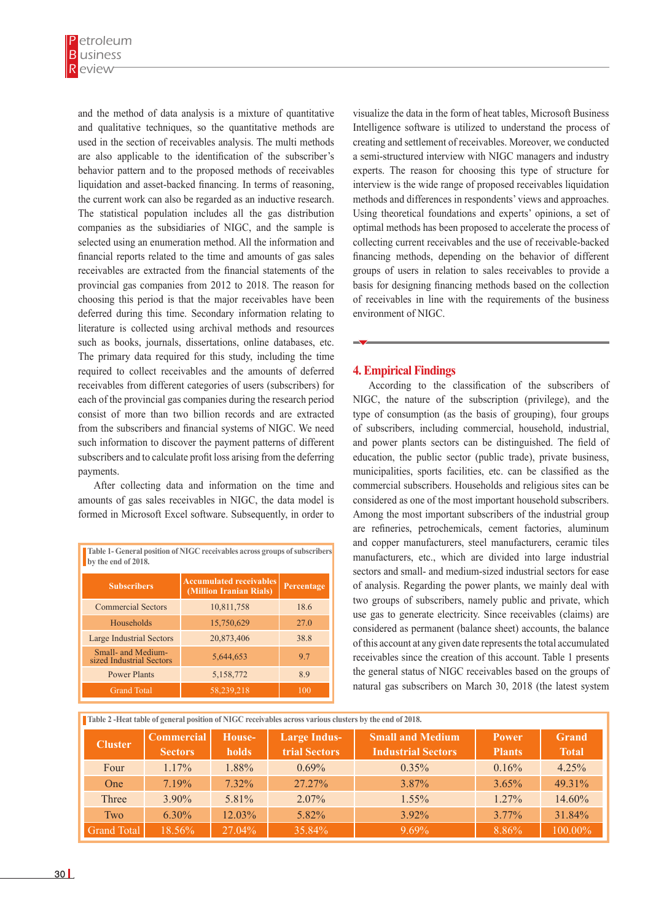and the method of data analysis is a mixture of quantitative and qualitative techniques, so the quantitative methods are used in the section of receivables analysis. The multi methods are also applicable to the identification of the subscriber's behavior pattern and to the proposed methods of receivables liquidation and asset-backed financing. In terms of reasoning, the current work can also be regarded as an inductive research. The statistical population includes all the gas distribution companies as the subsidiaries of NIGC, and the sample is selected using an enumeration method. All the information and financial reports related to the time and amounts of gas sales receivables are extracted from the financial statements of the provincial gas companies from 2012 to 2018. The reason for choosing this period is that the major receivables have been deferred during this time. Secondary information relating to literature is collected using archival methods and resources such as books, journals, dissertations, online databases, etc. The primary data required for this study, including the time required to collect receivables and the amounts of deferred receivables from different categories of users (subscribers) for each of the provincial gas companies during the research period consist of more than two billion records and are extracted from the subscribers and financial systems of NIGC. We need such information to discover the payment patterns of different subscribers and to calculate profit loss arising from the deferring payments.

After collecting data and information on the time and amounts of gas sales receivables in NIGC, the data model is formed in Microsoft Excel software. Subsequently, in order to

| Table 1- General position of NIGC receivables across groups of subscribers<br>by the end of 2018. |                                                           |            |  |  |  |  |
|---------------------------------------------------------------------------------------------------|-----------------------------------------------------------|------------|--|--|--|--|
| <b>Subscribers</b>                                                                                | <b>Accumulated receivables</b><br>(Million Iranian Rials) | Percentage |  |  |  |  |
| <b>Commercial Sectors</b>                                                                         | 10,811,758                                                | 18.6       |  |  |  |  |
| Households                                                                                        | 15,750,629                                                | 27.0       |  |  |  |  |
| <b>Large Industrial Sectors</b>                                                                   | 20,873,406                                                | 38.8       |  |  |  |  |
| Small- and Medium-<br>sized Industrial Sectors                                                    | 5,644,653                                                 | 9.7        |  |  |  |  |
| <b>Power Plants</b>                                                                               | 5,158,772                                                 | 8.9        |  |  |  |  |
| <b>Grand Total</b>                                                                                | 58,239,218                                                | 100        |  |  |  |  |

visualize the data in the form of heat tables, Microsoft Business Intelligence software is utilized to understand the process of creating and settlement of receivables. Moreover, we conducted a semi-structured interview with NIGC managers and industry experts. The reason for choosing this type of structure for interview is the wide range of proposed receivables liquidation methods and differences in respondents' views and approaches. Using theoretical foundations and experts' opinions, a set of optimal methods has been proposed to accelerate the process of collecting current receivables and the use of receivable-backed financing methods, depending on the behavior of different groups of users in relation to sales receivables to provide a basis for designing financing methods based on the collection of receivables in line with the requirements of the business environment of NIGC.

## **4. Empirical Findings**

According to the classification of the subscribers of NIGC, the nature of the subscription (privilege), and the type of consumption (as the basis of grouping), four groups of subscribers, including commercial, household, industrial, and power plants sectors can be distinguished. The field of education, the public sector (public trade), private business, municipalities, sports facilities, etc. can be classified as the commercial subscribers. Households and religious sites can be considered as one of the most important household subscribers. Among the most important subscribers of the industrial group are refineries, petrochemicals, cement factories, aluminum and copper manufacturers, steel manufacturers, ceramic tiles manufacturers, etc., which are divided into large industrial sectors and small- and medium-sized industrial sectors for ease of analysis. Regarding the power plants, we mainly deal with two groups of subscribers, namely public and private, which use gas to generate electricity. Since receivables (claims) are considered as permanent (balance sheet) accounts, the balance of this account at any given date represents the total accumulated receivables since the creation of this account. Table 1 presents the general status of NIGC receivables based on the groups of natural gas subscribers on March 30, 2018 (the latest system

| Table 2 -Heat table of general position of NIGC receivables across various clusters by the end of 2018. |                                     |                        |                                             |                                                      |                               |                              |  |  |  |
|---------------------------------------------------------------------------------------------------------|-------------------------------------|------------------------|---------------------------------------------|------------------------------------------------------|-------------------------------|------------------------------|--|--|--|
| <b>Cluster</b>                                                                                          | <b>Commercial</b><br><b>Sectors</b> | House-<br><b>holds</b> | <b>Large Indus-</b><br><b>trial Sectors</b> | <b>Small and Medium</b><br><b>Industrial Sectors</b> | <b>Power</b><br><b>Plants</b> | <b>Grand</b><br><b>Total</b> |  |  |  |
| Four                                                                                                    | $1.17\%$                            | 1.88%                  | $0.69\%$                                    | $0.35\%$                                             | 0.16%                         | 4.25%                        |  |  |  |
| <b>One</b>                                                                                              | 7.19%                               | $7.32\%$               | $27.27\%$                                   | 3.87%                                                | 3.65%                         | 49.31%                       |  |  |  |
| Three                                                                                                   | $3.90\%$                            | 5.81%                  | $2.07\%$                                    | $1.55\%$                                             | $1.27\%$                      | 14.60%                       |  |  |  |
| Two                                                                                                     | $6.30\%$                            | 12.03%                 | 5.82%                                       | $3.92\%$                                             | $3.77\%$                      | 31.84%                       |  |  |  |
| <b>Grand Total</b>                                                                                      | 18.56%                              | 27.04%                 | 35.84%                                      | $9.69\%$                                             | 8.86%                         | 100.00%                      |  |  |  |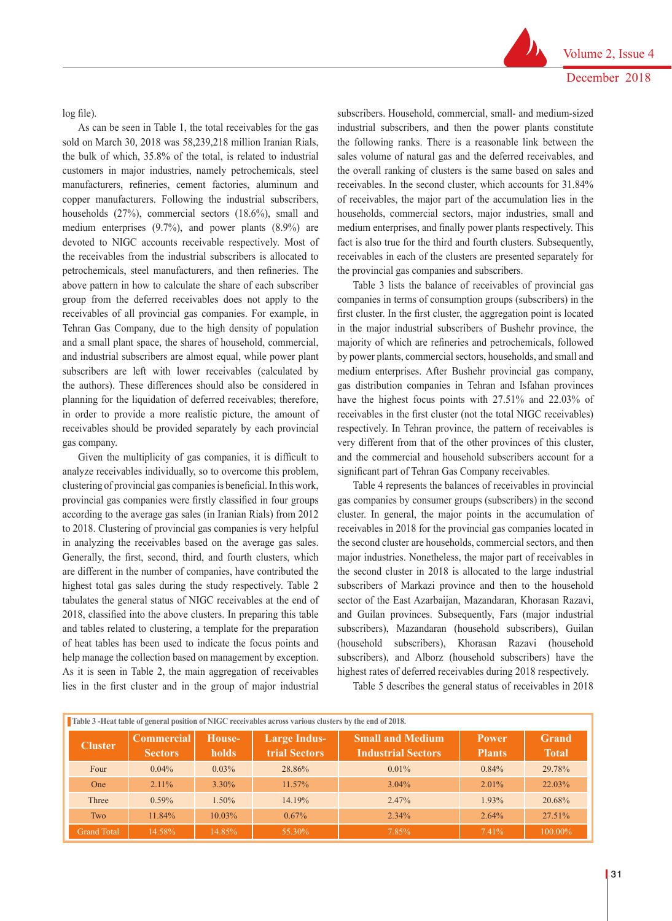log file).

As can be seen in Table 1, the total receivables for the gas sold on March 30, 2018 was 58,239,218 million Iranian Rials, the bulk of which, 35.8% of the total, is related to industrial customers in major industries, namely petrochemicals, steel manufacturers, refineries, cement factories, aluminum and copper manufacturers. Following the industrial subscribers, households (27%), commercial sectors (18.6%), small and medium enterprises (9.7%), and power plants (8.9%) are devoted to NIGC accounts receivable respectively. Most of the receivables from the industrial subscribers is allocated to petrochemicals, steel manufacturers, and then refineries. The above pattern in how to calculate the share of each subscriber group from the deferred receivables does not apply to the receivables of all provincial gas companies. For example, in Tehran Gas Company, due to the high density of population and a small plant space, the shares of household, commercial, and industrial subscribers are almost equal, while power plant subscribers are left with lower receivables (calculated by the authors). These differences should also be considered in planning for the liquidation of deferred receivables; therefore, in order to provide a more realistic picture, the amount of receivables should be provided separately by each provincial gas company.

Given the multiplicity of gas companies, it is difficult to analyze receivables individually, so to overcome this problem, clustering of provincial gas companies is beneficial. In this work, provincial gas companies were firstly classified in four groups according to the average gas sales (in Iranian Rials) from 2012 to 2018. Clustering of provincial gas companies is very helpful in analyzing the receivables based on the average gas sales. Generally, the first, second, third, and fourth clusters, which are different in the number of companies, have contributed the highest total gas sales during the study respectively. Table 2 tabulates the general status of NIGC receivables at the end of 2018, classified into the above clusters. In preparing this table and tables related to clustering, a template for the preparation of heat tables has been used to indicate the focus points and help manage the collection based on management by exception. As it is seen in Table 2, the main aggregation of receivables lies in the first cluster and in the group of major industrial subscribers. Household, commercial, small- and medium-sized industrial subscribers, and then the power plants constitute the following ranks. There is a reasonable link between the sales volume of natural gas and the deferred receivables, and the overall ranking of clusters is the same based on sales and receivables. In the second cluster, which accounts for 31.84% of receivables, the major part of the accumulation lies in the households, commercial sectors, major industries, small and medium enterprises, and finally power plants respectively. This fact is also true for the third and fourth clusters. Subsequently, receivables in each of the clusters are presented separately for the provincial gas companies and subscribers.

Table 3 lists the balance of receivables of provincial gas companies in terms of consumption groups (subscribers) in the first cluster. In the first cluster, the aggregation point is located in the major industrial subscribers of Bushehr province, the majority of which are refineries and petrochemicals, followed by power plants, commercial sectors, households, and small and medium enterprises. After Bushehr provincial gas company, gas distribution companies in Tehran and Isfahan provinces have the highest focus points with 27.51% and 22.03% of receivables in the first cluster (not the total NIGC receivables) respectively. In Tehran province, the pattern of receivables is very different from that of the other provinces of this cluster, and the commercial and household subscribers account for a significant part of Tehran Gas Company receivables.

Table 4 represents the balances of receivables in provincial gas companies by consumer groups (subscribers) in the second cluster. In general, the major points in the accumulation of receivables in 2018 for the provincial gas companies located in the second cluster are households, commercial sectors, and then major industries. Nonetheless, the major part of receivables in the second cluster in 2018 is allocated to the large industrial subscribers of Markazi province and then to the household sector of the East Azarbaijan, Mazandaran, Khorasan Razavi, and Guilan provinces. Subsequently, Fars (major industrial subscribers), Mazandaran (household subscribers), Guilan (household subscribers), Khorasan Razavi (household subscribers), and Alborz (household subscribers) have the highest rates of deferred receivables during 2018 respectively.

Table 5 describes the general status of receivables in 2018

|                    | Table 3 -Heat table of general position of NIGC receivables across various clusters by the end of 2018. |                        |                                      |                                                      |                               |                              |  |  |  |  |
|--------------------|---------------------------------------------------------------------------------------------------------|------------------------|--------------------------------------|------------------------------------------------------|-------------------------------|------------------------------|--|--|--|--|
| <b>Cluster</b>     | <b>Commercial</b><br><b>Sectors</b>                                                                     | House-<br><b>holds</b> | <b>Large Indus-</b><br>trial Sectors | <b>Small and Medium</b><br><b>Industrial Sectors</b> | <b>Power</b><br><b>Plants</b> | <b>Grand</b><br><b>Total</b> |  |  |  |  |
| Four               | $0.04\%$                                                                                                | $0.03\%$               | 28.86%                               | $0.01\%$                                             | $0.84\%$                      | 29.78%                       |  |  |  |  |
| <b>One</b>         | $2.11\%$                                                                                                | $3.30\%$               | $11.57\%$                            | $3.04\%$                                             | $2.01\%$                      | 22.03%                       |  |  |  |  |
| Three              | $0.59\%$                                                                                                | $1.50\%$               | 14.19%                               | 2.47%                                                | 1.93%                         | 20.68%                       |  |  |  |  |
| Two                | 11.84%                                                                                                  | $10.03\%$              | $0.67\%$                             | $2.34\%$                                             | 2.64%                         | 27.51%                       |  |  |  |  |
| <b>Grand Total</b> | 14.58%                                                                                                  | 14.85%                 | 55.30%                               | 7.85%                                                | 7.41%                         | 100.00%                      |  |  |  |  |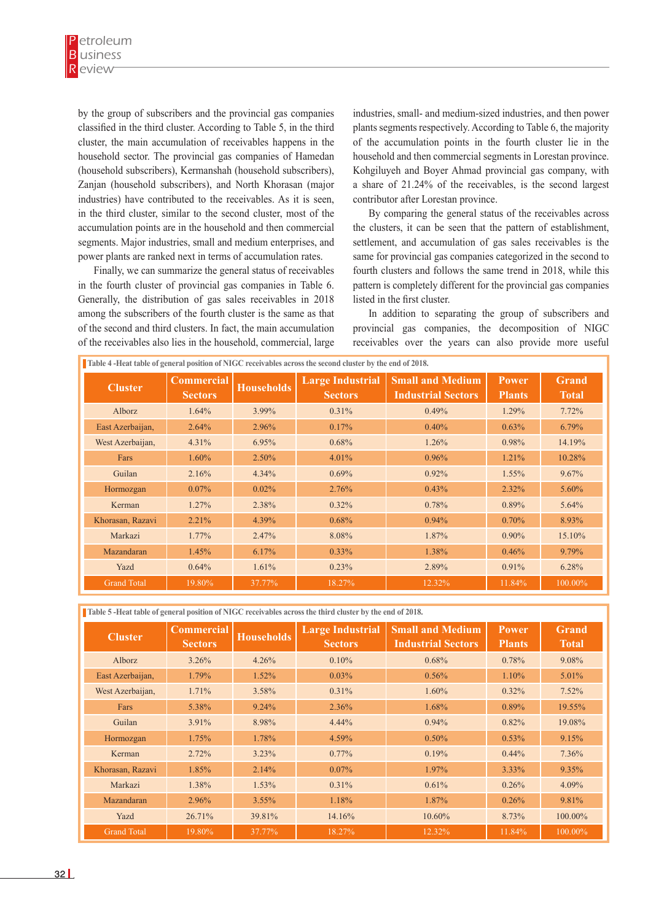by the group of subscribers and the provincial gas companies classified in the third cluster. According to Table 5, in the third cluster, the main accumulation of receivables happens in the household sector. The provincial gas companies of Hamedan (household subscribers), Kermanshah (household subscribers), Zanjan (household subscribers), and North Khorasan (major industries) have contributed to the receivables. As it is seen, in the third cluster, similar to the second cluster, most of the accumulation points are in the household and then commercial segments. Major industries, small and medium enterprises, and power plants are ranked next in terms of accumulation rates.

Finally, we can summarize the general status of receivables in the fourth cluster of provincial gas companies in Table 6. Generally, the distribution of gas sales receivables in 2018 among the subscribers of the fourth cluster is the same as that of the second and third clusters. In fact, the main accumulation of the receivables also lies in the household, commercial, large

industries, small- and medium-sized industries, and then power plants segments respectively. According to Table 6, the majority of the accumulation points in the fourth cluster lie in the household and then commercial segments in Lorestan province. Kohgiluyeh and Boyer Ahmad provincial gas company, with a share of 21.24% of the receivables, is the second largest contributor after Lorestan province.

By comparing the general status of the receivables across the clusters, it can be seen that the pattern of establishment, settlement, and accumulation of gas sales receivables is the same for provincial gas companies categorized in the second to fourth clusters and follows the same trend in 2018, while this pattern is completely different for the provincial gas companies listed in the first cluster.

In addition to separating the group of subscribers and provincial gas companies, the decomposition of NIGC receivables over the years can also provide more useful

| Table 4 -Heat table of general position of NIGC receivables across the second cluster by the end of 2018. |                                     |                   |                                           |                                                      |                         |                              |  |  |
|-----------------------------------------------------------------------------------------------------------|-------------------------------------|-------------------|-------------------------------------------|------------------------------------------------------|-------------------------|------------------------------|--|--|
| <b>Cluster</b>                                                                                            | <b>Commercial</b><br><b>Sectors</b> | <b>Households</b> | <b>Large Industrial</b><br><b>Sectors</b> | <b>Small and Medium</b><br><b>Industrial Sectors</b> | Power.<br><b>Plants</b> | <b>Grand</b><br><b>Total</b> |  |  |
| Alborz                                                                                                    | 1.64%                               | 3.99%             | 0.31%                                     | 0.49%                                                | 1.29%                   | 7.72%                        |  |  |
| East Azerbaijan,                                                                                          | 2.64%                               | 2.96%             | 0.17%                                     | 0.40%                                                | 0.63%                   | $6.79\%$                     |  |  |
| West Azerbaijan,                                                                                          | 4.31%                               | 6.95%             | 0.68%                                     | 1.26%                                                | 0.98%                   | 14.19%                       |  |  |
| Fars                                                                                                      | $1.60\%$                            | $2.50\%$          | 4.01%                                     | $0.96\%$                                             | 1.21%                   | 10.28%                       |  |  |
| Guilan                                                                                                    | 2.16%                               | 4.34%             | $0.69\%$                                  | $0.92\%$                                             | 1.55%                   | 9.67%                        |  |  |
| Hormozgan                                                                                                 | $0.07\%$                            | $0.02\%$          | 2.76%                                     | $0.43\%$                                             | 2.32%                   | $5.60\%$                     |  |  |
| Kerman                                                                                                    | 1.27%                               | 2.38%             | $0.32\%$                                  | 0.78%                                                | 0.89%                   | 5.64%                        |  |  |
| Khorasan, Razavi                                                                                          | 2.21%                               | 4.39%             | $0.68\%$                                  | $0.94\%$                                             | $0.70\%$                | 8.93%                        |  |  |
| Markazi                                                                                                   | $1.77\%$                            | 2.47%             | 8.08%                                     | 1.87%                                                | $0.90\%$                | 15.10%                       |  |  |
| Mazandaran                                                                                                | 1.45%                               | 6.17%             | $0.33\%$                                  | 1.38%                                                | 0.46%                   | 9.79%                        |  |  |
| Yazd                                                                                                      | 0.64%                               | 1.61%             | 0.23%                                     | 2.89%                                                | 0.91%                   | 6.28%                        |  |  |
| <b>Grand Total</b>                                                                                        | 19.80%                              | 37.77%            | 18.27%                                    | 12.32%                                               | 11.84%                  | 100.00%                      |  |  |

**Table 5 -Heat table of general position of NIGC receivables across the third cluster by the end of 2018.**

| <b>Cluster</b>     | <b>Commercial</b><br><b>Sectors</b> | <b>Households</b> | <b>Large Industrial</b><br><b>Sectors</b> | <b>Small and Medium</b><br><b>Industrial Sectors</b> | <b>Power</b><br><b>Plants</b> | <b>Grand</b><br><b>Total</b> |
|--------------------|-------------------------------------|-------------------|-------------------------------------------|------------------------------------------------------|-------------------------------|------------------------------|
| Alborz             | 3.26%                               | 4.26%             | 0.10%                                     | 0.68%                                                | 0.78%                         | 9.08%                        |
| East Azerbaijan,   | 1.79%                               | $1.52\%$          | $0.03\%$                                  | 0.56%                                                | 1.10%                         | $5.01\%$                     |
| West Azerbaijan,   | 1.71%                               | 3.58%             | 0.31%                                     | $1.60\%$                                             | $0.32\%$                      | 7.52%                        |
| Fars               | 5.38%                               | $9.24\%$          | 2.36%                                     | 1.68%                                                | 0.89%                         | 19.55%                       |
| Guilan             | 3.91%                               | 8.98%             | $4.44\%$                                  | $0.94\%$                                             | 0.82%                         | 19.08%                       |
| Hormozgan          | 1.75%                               | 1.78%             | 4.59%                                     | $0.50\%$                                             | 0.53%                         | 9.15%                        |
| Kerman             | 2.72%                               | $3.23\%$          | $0.77\%$                                  | 0.19%                                                | $0.44\%$                      | $7.36\%$                     |
| Khorasan, Razavi   | 1.85%                               | 2.14%             | $0.07\%$                                  | 1.97%                                                | $3.33\%$                      | $9.35\%$                     |
| Markazi            | 1.38%                               | 1.53%             | 0.31%                                     | 0.61%                                                | 0.26%                         | $4.09\%$                     |
| Mazandaran         | 2.96%                               | $3.55\%$          | 1.18%                                     | 1.87%                                                | 0.26%                         | 9.81%                        |
| Yazd               | 26.71%                              | 39.81%            | 14.16%                                    | 10.60%                                               | 8.73%                         | 100.00%                      |
| <b>Grand Total</b> | 19.80%                              | 37.77%            | 18.27%                                    | 12.32%                                               | 11.84%                        | 100.00%                      |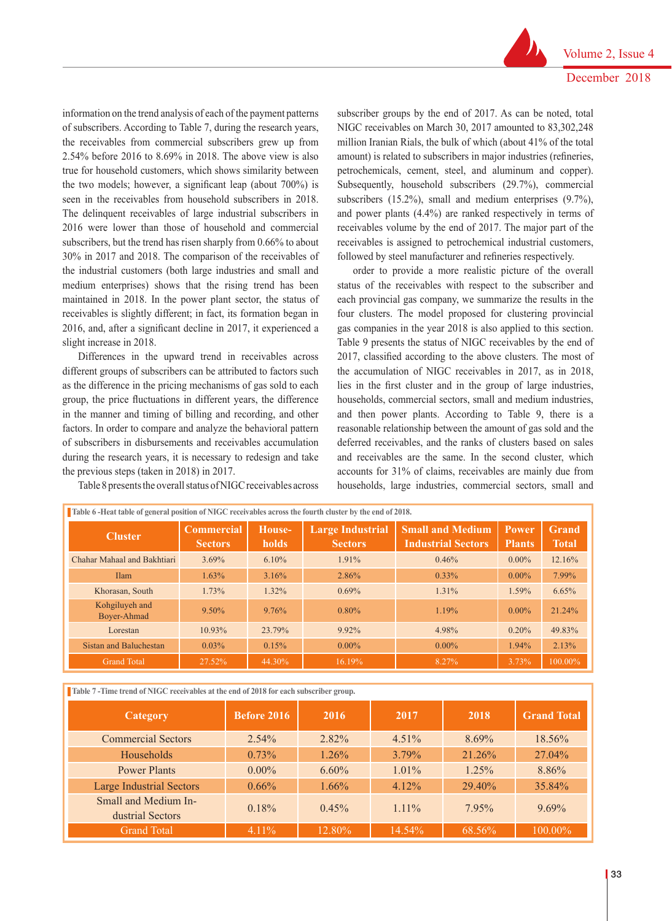information on the trend analysis of each of the payment patterns of subscribers. According to Table 7, during the research years, the receivables from commercial subscribers grew up from 2.54% before 2016 to 8.69% in 2018. The above view is also true for household customers, which shows similarity between the two models; however, a significant leap (about 700%) is seen in the receivables from household subscribers in 2018. The delinquent receivables of large industrial subscribers in 2016 were lower than those of household and commercial subscribers, but the trend has risen sharply from 0.66% to about 30% in 2017 and 2018. The comparison of the receivables of the industrial customers (both large industries and small and medium enterprises) shows that the rising trend has been maintained in 2018. In the power plant sector, the status of receivables is slightly different; in fact, its formation began in 2016, and, after a significant decline in 2017, it experienced a slight increase in 2018.

Differences in the upward trend in receivables across different groups of subscribers can be attributed to factors such as the difference in the pricing mechanisms of gas sold to each group, the price fluctuations in different years, the difference in the manner and timing of billing and recording, and other factors. In order to compare and analyze the behavioral pattern of subscribers in disbursements and receivables accumulation during the research years, it is necessary to redesign and take the previous steps (taken in 2018) in 2017.

Table 8 presents the overall status of NIGC receivables across

subscriber groups by the end of 2017. As can be noted, total NIGC receivables on March 30, 2017 amounted to 83,302,248 million Iranian Rials, the bulk of which (about 41% of the total amount) is related to subscribers in major industries (refineries, petrochemicals, cement, steel, and aluminum and copper). Subsequently, household subscribers (29.7%), commercial subscribers (15.2%), small and medium enterprises (9.7%), and power plants (4.4%) are ranked respectively in terms of receivables volume by the end of 2017. The major part of the receivables is assigned to petrochemical industrial customers, followed by steel manufacturer and refineries respectively.

order to provide a more realistic picture of the overall status of the receivables with respect to the subscriber and each provincial gas company, we summarize the results in the four clusters. The model proposed for clustering provincial gas companies in the year 2018 is also applied to this section. Table 9 presents the status of NIGC receivables by the end of 2017, classified according to the above clusters. The most of the accumulation of NIGC receivables in 2017, as in 2018, lies in the first cluster and in the group of large industries, households, commercial sectors, small and medium industries, and then power plants. According to Table 9, there is a reasonable relationship between the amount of gas sold and the deferred receivables, and the ranks of clusters based on sales and receivables are the same. In the second cluster, which accounts for 31% of claims, receivables are mainly due from households, large industries, commercial sectors, small and

| <b>Cluster</b>                | <b>Commercial</b><br><b>Sectors</b> | House-<br><b>holds</b> | <b>Large Industrial</b><br><b>Sectors</b> | <b>Small and Medium</b><br><b>Industrial Sectors</b> | <b>Power</b><br><b>Plants</b> | Grand<br><b>Total</b> |
|-------------------------------|-------------------------------------|------------------------|-------------------------------------------|------------------------------------------------------|-------------------------------|-----------------------|
| Chahar Mahaal and Bakhtiari   | $3.69\%$                            | 6.10%                  | 1.91%                                     | 0.46%                                                | $0.00\%$                      | 12.16%                |
| <b>Ilam</b>                   | 1.63%                               | 3.16%                  | 2.86%                                     | $0.33\%$                                             | $0.00\%$                      | 7.99%                 |
| Khorasan, South               | 1.73%                               | 1.32%                  | $0.69\%$                                  | 1.31%                                                | 1.59%                         | 6.65%                 |
| Kohgiluyeh and<br>Bover-Ahmad | $9.50\%$                            | 9.76%                  | $0.80\%$                                  | 1.19%                                                | $0.00\%$                      | 21.24%                |
| Lorestan                      | 10.93%                              | 23.79%                 | $9.92\%$                                  | 4.98%                                                | 0.20%                         | 49.83%                |
| Sistan and Baluchestan        | $0.03\%$                            | 0.15%                  | $0.00\%$                                  | $0.00\%$                                             | 1.94%                         | 2.13%                 |
| <b>Grand Total</b>            | 27.52%                              | 44.30%                 | 16.19%                                    | 8.27%                                                | 3.73%                         | 100.00%               |

**Table 7-Time trend of NIGC receivables at the end of 2018 for each subscriber group.** 

| Category                                 | <b>Before 2016</b> | 2016     | 2017     | 2018      | <b>Grand Total</b> |
|------------------------------------------|--------------------|----------|----------|-----------|--------------------|
| <b>Commercial Sectors</b>                | $2.54\%$           | $2.82\%$ | $4.51\%$ | $8.69\%$  | 18.56%             |
| Households                               | 0.73%              | $1.26\%$ | $3.79\%$ | 21.26%    | 27.04%             |
| <b>Power Plants</b>                      | $0.00\%$           | $6.60\%$ | $1.01\%$ | $1.25\%$  | 8.86%              |
| <b>Large Industrial Sectors</b>          | $0.66\%$           | $1.66\%$ | $4.12\%$ | $29.40\%$ | 35.84%             |
| Small and Medium In-<br>dustrial Sectors | 0.18%              | 0.45%    | $1.11\%$ | 795%      | $9.69\%$           |
| <b>Grand Total</b>                       | 4.11%              | 12.80%   | 14.54%   | $68.56\%$ | 100.00%            |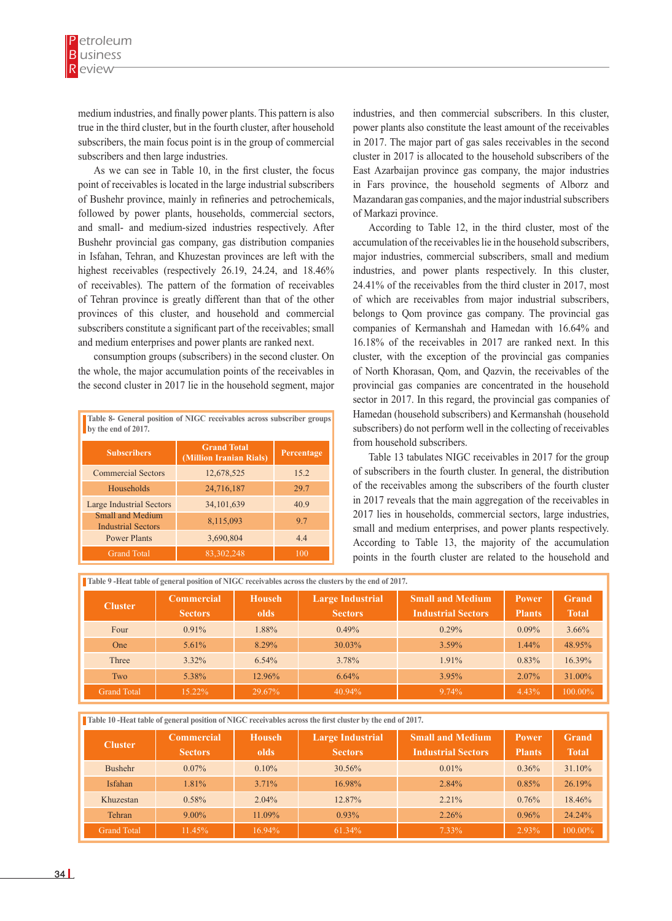medium industries, and finally power plants. This pattern is also true in the third cluster, but in the fourth cluster, after household subscribers, the main focus point is in the group of commercial subscribers and then large industries.

As we can see in Table 10, in the first cluster, the focus point of receivables is located in the large industrial subscribers of Bushehr province, mainly in refineries and petrochemicals, followed by power plants, households, commercial sectors, and small- and medium-sized industries respectively. After Bushehr provincial gas company, gas distribution companies in Isfahan, Tehran, and Khuzestan provinces are left with the highest receivables (respectively 26.19, 24.24, and 18.46% of receivables). The pattern of the formation of receivables of Tehran province is greatly different than that of the other provinces of this cluster, and household and commercial subscribers constitute a significant part of the receivables; small and medium enterprises and power plants are ranked next.

consumption groups (subscribers) in the second cluster. On the whole, the major accumulation points of the receivables in the second cluster in 2017 lie in the household segment, major

| Table 8- General position of NIGC receivables across subscriber groups<br>by the end of 2017. |                                               |            |  |  |  |  |  |
|-----------------------------------------------------------------------------------------------|-----------------------------------------------|------------|--|--|--|--|--|
| <b>Subscribers</b>                                                                            | <b>Grand Total</b><br>(Million Iranian Rials) | Percentage |  |  |  |  |  |
| <b>Commercial Sectors</b>                                                                     | 12,678,525                                    | 15.2       |  |  |  |  |  |
| Households                                                                                    | 24,716,187                                    | 29.7       |  |  |  |  |  |
| <b>Large Industrial Sectors</b>                                                               | 34, 101, 639                                  | 40.9       |  |  |  |  |  |
| Small and Medium<br><b>Industrial Sectors</b>                                                 | 8,115,093                                     | 9.7        |  |  |  |  |  |
| <b>Power Plants</b>                                                                           | 3,690,804                                     | 4.4        |  |  |  |  |  |
| <b>Grand Total</b>                                                                            | 83, 302, 248                                  | 100        |  |  |  |  |  |

industries, and then commercial subscribers. In this cluster, power plants also constitute the least amount of the receivables in 2017. The major part of gas sales receivables in the second cluster in 2017 is allocated to the household subscribers of the East Azarbaijan province gas company, the major industries in Fars province, the household segments of Alborz and Mazandaran gas companies, and the major industrial subscribers of Markazi province.

According to Table 12, in the third cluster, most of the accumulation of the receivables lie in the household subscribers, major industries, commercial subscribers, small and medium industries, and power plants respectively. In this cluster, 24.41% of the receivables from the third cluster in 2017, most of which are receivables from major industrial subscribers, belongs to Qom province gas company. The provincial gas companies of Kermanshah and Hamedan with 16.64% and 16.18% of the receivables in 2017 are ranked next. In this cluster, with the exception of the provincial gas companies of North Khorasan, Qom, and Qazvin, the receivables of the provincial gas companies are concentrated in the household sector in 2017. In this regard, the provincial gas companies of Hamedan (household subscribers) and Kermanshah (household subscribers) do not perform well in the collecting of receivables from household subscribers.

Table 13 tabulates NIGC receivables in 2017 for the group of subscribers in the fourth cluster. In general, the distribution of the receivables among the subscribers of the fourth cluster in 2017 reveals that the main aggregation of the receivables in 2017 lies in households, commercial sectors, large industries, small and medium enterprises, and power plants respectively. According to Table 13, the majority of the accumulation points in the fourth cluster are related to the household and

|                    | Table 9 -Heat table of general position of NIGC receivables across the clusters by the end of 2017. |               |                         |                           |               |              |  |  |  |
|--------------------|-----------------------------------------------------------------------------------------------------|---------------|-------------------------|---------------------------|---------------|--------------|--|--|--|
| <b>Cluster</b>     | <b>Commercial</b>                                                                                   | <b>Househ</b> | <b>Large Industrial</b> | <b>Small and Medium</b>   | <b>Power</b>  | <b>Grand</b> |  |  |  |
|                    | <b>Sectors</b>                                                                                      | olds          | <b>Sectors</b>          | <b>Industrial Sectors</b> | <b>Plants</b> | <b>Total</b> |  |  |  |
| Four               | $0.91\%$                                                                                            | 1.88%         | 0.49%                   | 0.29%                     | $0.09\%$      | $3.66\%$     |  |  |  |
| One                | $5.61\%$                                                                                            | 8.29%         | 30.03%                  | $3.59\%$                  | $1.44\%$      | 48.95%       |  |  |  |
| Three              | $3.32\%$                                                                                            | 6.54%         | 3.78%                   | $1.91\%$                  | 0.83%         | 16.39%       |  |  |  |
| Two                | 5.38%                                                                                               | 12.96%        | 6.64%                   | 3.95%                     | $2.07\%$      | 31.00%       |  |  |  |
| <b>Grand Total</b> | 15.22%                                                                                              | 29.67%        | 40.94%                  | $9.74\%$                  | 4.43%         | 100.00%      |  |  |  |

**Table 10 -Heat table of general position of NIGC receivables across the first cluster by the end of 2017.**

| <b>Cluster</b>     | <b>Commercial</b><br><b>Sectors</b> | <b>Househ</b><br>olds | <b>Large Industrial</b><br><b>Sectors</b> | <b>Small and Medium</b><br><b>Industrial Sectors</b> | <b>Power</b><br><b>Plants</b> | <b>Grand</b><br><b>Total</b> |
|--------------------|-------------------------------------|-----------------------|-------------------------------------------|------------------------------------------------------|-------------------------------|------------------------------|
| Bushehr            | $0.07\%$                            | $0.10\%$              | 30.56%                                    | $0.01\%$                                             | $0.36\%$                      | 31.10%                       |
| <b>Isfahan</b>     | 1.81%                               | $3.71\%$              | 16.98%                                    | 2.84%                                                | 0.85%                         | 26.19%                       |
| Khuzestan          | $0.58\%$                            | $2.04\%$              | 12.87%                                    | 2.21%                                                | 0.76%                         | 18.46%                       |
| Tehran             | $9.00\%$                            | 11.09%                | $0.93\%$                                  | 2.26%                                                | $0.96\%$                      | 24.24%                       |
| <b>Grand Total</b> | 11.45%                              | 16.94%                | 61.34%                                    | 7.33%                                                | 2.93%                         | 100.00%                      |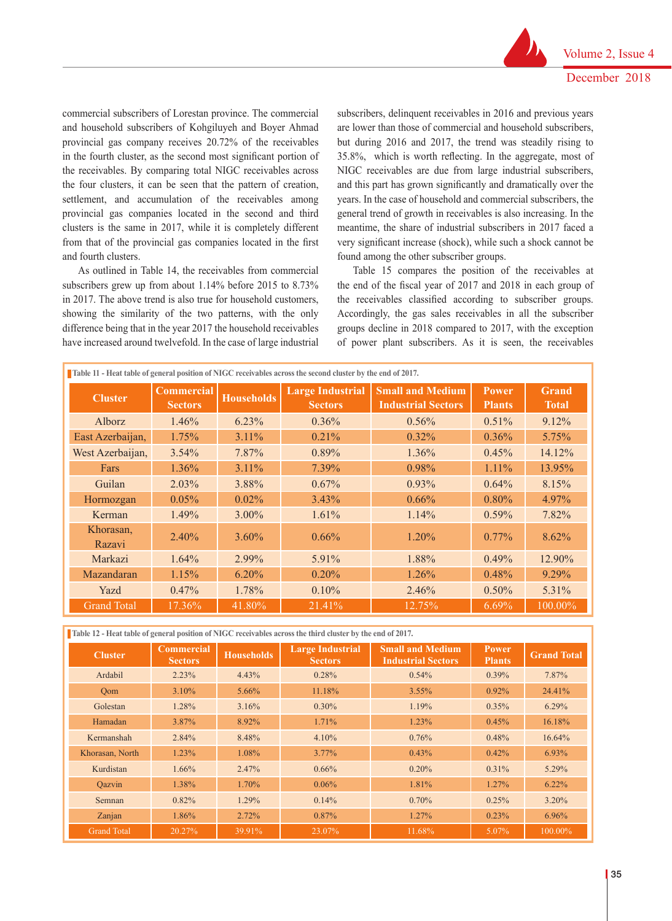commercial subscribers of Lorestan province. The commercial and household subscribers of Kohgiluyeh and Boyer Ahmad provincial gas company receives 20.72% of the receivables in the fourth cluster, as the second most significant portion of the receivables. By comparing total NIGC receivables across the four clusters, it can be seen that the pattern of creation, settlement, and accumulation of the receivables among provincial gas companies located in the second and third clusters is the same in 2017, while it is completely different from that of the provincial gas companies located in the first and fourth clusters.

As outlined in Table 14, the receivables from commercial subscribers grew up from about 1.14% before 2015 to 8.73% in 2017. The above trend is also true for household customers, showing the similarity of the two patterns, with the only difference being that in the year 2017 the household receivables have increased around twelvefold. In the case of large industrial

subscribers, delinquent receivables in 2016 and previous years are lower than those of commercial and household subscribers, but during 2016 and 2017, the trend was steadily rising to 35.8%, which is worth reflecting. In the aggregate, most of NIGC receivables are due from large industrial subscribers, and this part has grown significantly and dramatically over the years. In the case of household and commercial subscribers, the general trend of growth in receivables is also increasing. In the meantime, the share of industrial subscribers in 2017 faced a very significant increase (shock), while such a shock cannot be found among the other subscriber groups.

Table 15 compares the position of the receivables at the end of the fiscal year of 2017 and 2018 in each group of the receivables classified according to subscriber groups. Accordingly, the gas sales receivables in all the subscriber groups decline in 2018 compared to 2017, with the exception of power plant subscribers. As it is seen, the receivables

| Table 11 - Heat table of general position of NIGC receivables across the second cluster by the end of 2017. |                                     |                   |                                           |                                                      |                               |                              |  |  |
|-------------------------------------------------------------------------------------------------------------|-------------------------------------|-------------------|-------------------------------------------|------------------------------------------------------|-------------------------------|------------------------------|--|--|
| <b>Cluster</b>                                                                                              | <b>Commercial</b><br><b>Sectors</b> | <b>Households</b> | <b>Large Industrial</b><br><b>Sectors</b> | <b>Small and Medium</b><br><b>Industrial Sectors</b> | <b>Power</b><br><b>Plants</b> | <b>Grand</b><br><b>Total</b> |  |  |
| Alborz                                                                                                      | 1.46%                               | 6.23%             | $0.36\%$                                  | 0.56%                                                | $0.51\%$                      | $9.12\%$                     |  |  |
| East Azerbaijan,                                                                                            | $1.75\%$                            | $3.11\%$          | $0.21\%$                                  | $0.32\%$                                             | $0.36\%$                      | $5.75\%$                     |  |  |
| West Azerbaijan,                                                                                            | $3.54\%$                            | 7.87%             | $0.89\%$                                  | $1.36\%$                                             | 0.45%                         | 14.12%                       |  |  |
| Fars                                                                                                        | $1.36\%$                            | $3.11\%$          | 7.39%                                     | 0.98%                                                | 1.11%                         | 13.95%                       |  |  |
| Guilan                                                                                                      | $2.03\%$                            | 3.88%             | $0.67\%$                                  | 0.93%                                                | 0.64%                         | 8.15%                        |  |  |
| Hormozgan                                                                                                   | $0.05\%$                            | 0.02%             | 3.43%                                     | $0.66\%$                                             | $0.80\%$                      | 4.97%                        |  |  |
| Kerman                                                                                                      | 1.49%                               | $3.00\%$          | $1.61\%$                                  | $1.14\%$                                             | $0.59\%$                      | 7.82%                        |  |  |
| Khorasan,<br>Razavi                                                                                         | $2.40\%$                            | $3.60\%$          | $0.66\%$                                  | $1.20\%$                                             | $0.77\%$                      | 8.62%                        |  |  |
| Markazi                                                                                                     | 1.64%                               | 2.99%             | 5.91%                                     | 1.88%                                                | 0.49%                         | 12.90%                       |  |  |
| Mazandaran                                                                                                  | 1.15%                               | $6.20\%$          | $0.20\%$                                  | $1.26\%$                                             | 0.48%                         | $9.29\%$                     |  |  |
| Yazd                                                                                                        | $0.47\%$                            | 1.78%             | $0.10\%$                                  | 2.46%                                                | $0.50\%$                      | 5.31%                        |  |  |
| <b>Grand Total</b>                                                                                          | 17.36%                              | 41.80%            | 21.41%                                    | 12.75%                                               | $6.69\%$                      | 100.00%                      |  |  |

**Table 12 - Heat table of general position of NIGC receivables across the third cluster by the end of 2017.**

| <b>Cluster</b>     | <b>Commercial</b><br><b>Sectors</b> | <b>Households</b> | <b>Large Industrial</b><br><b>Sectors</b> | <b>Small and Medium</b><br><b>Industrial Sectors</b> | <b>Power</b><br><b>Plants</b> | <b>Grand Total</b> |
|--------------------|-------------------------------------|-------------------|-------------------------------------------|------------------------------------------------------|-------------------------------|--------------------|
| Ardabil            | 2.23%                               | 4.43%             | 0.28%                                     | 0.54%                                                | $0.39\%$                      | 7.87%              |
| Oom                | $3.10\%$                            | $5.66\%$          | 11.18%                                    | $3.55\%$                                             | 0.92%                         | 24.41%             |
| Golestan           | 1.28%                               | 3.16%             | $0.30\%$                                  | 1.19%                                                | $0.35\%$                      | $6.29\%$           |
| Hamadan            | 3.87%                               | 8.92%             | 1.71%                                     | 1.23%                                                | 0.45%                         | 16.18%             |
| Kermanshah         | 2.84%                               | 8.48%             | $4.10\%$                                  | 0.76%                                                | 0.48%                         | $16.64\%$          |
| Khorasan, North    | 1.23%                               | 1.08%             | $3.77\%$                                  | 0.43%                                                | $0.42\%$                      | $6.93\%$           |
| Kurdistan          | $1.66\%$                            | 2.47%             | $0.66\%$                                  | $0.20\%$                                             | $0.31\%$                      | 5.29%              |
| Oazvin             | 1.38%                               | 1.70%             | $0.06\%$                                  | 1.81%                                                | 1.27%                         | $6.22\%$           |
| Semnan             | $0.82\%$                            | 1.29%             | $0.14\%$                                  | $0.70\%$                                             | 0.25%                         | $3.20\%$           |
| Zanjan             | $1.86\%$                            | $2.72\%$          | $0.87\%$                                  | $1.27\%$                                             | $0.23\%$                      | $6.96\%$           |
| <b>Grand Total</b> | 20.27%                              | 39.91%            | 23.07%                                    | 11.68%                                               | $5.07\%$                      | 100.00%            |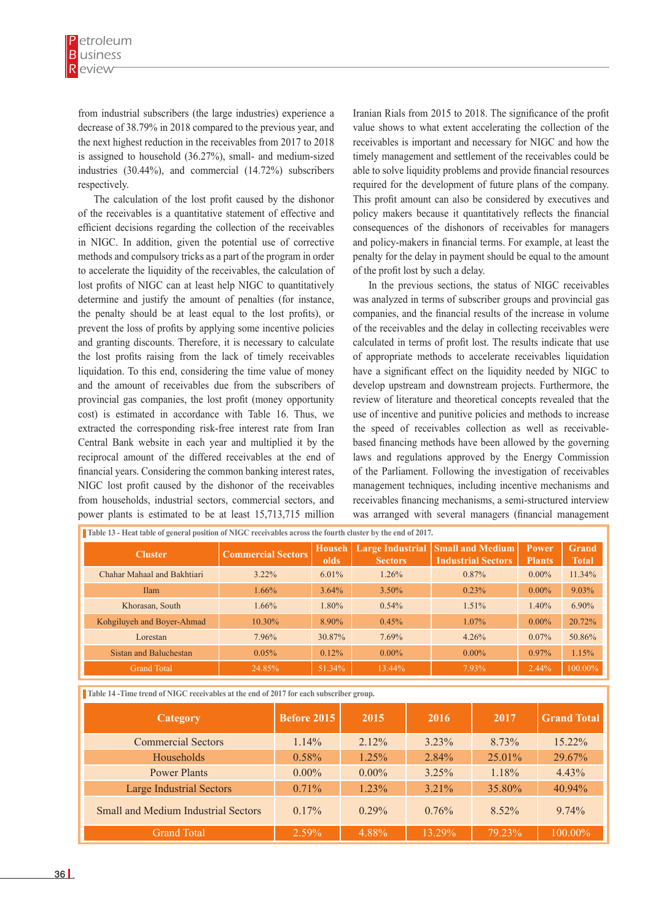from industrial subscribers (the large industries) experience a decrease of 38.79% in 2018 compared to the previous year, and the next highest reduction in the receivables from 2017 to 2018 is assigned to household (36.27%), small- and medium-sized industries (30.44%), and commercial (14.72%) subscribers respectively.

The calculation of the lost profit caused by the dishonor of the receivables is a quantitative statement of effective and efficient decisions regarding the collection of the receivables in NIGC. In addition, given the potential use of corrective methods and compulsory tricks as a part of the program in order to accelerate the liquidity of the receivables, the calculation of lost profits of NIGC can at least help NIGC to quantitatively determine and justify the amount of penalties (for instance, the penalty should be at least equal to the lost profits), or prevent the loss of profits by applying some incentive policies and granting discounts. Therefore, it is necessary to calculate the lost profits raising from the lack of timely receivables liquidation. To this end, considering the time value of money and the amount of receivables due from the subscribers of provincial gas companies, the lost profit (money opportunity cost) is estimated in accordance with Table 16. Thus, we extracted the corresponding risk-free interest rate from Iran Central Bank website in each year and multiplied it by the reciprocal amount of the differed receivables at the end of financial years. Considering the common banking interest rates, NIGC lost profit caused by the dishonor of the receivables from households, industrial sectors, commercial sectors, and power plants is estimated to be at least 15,713,715 million

Iranian Rials from 2015 to 2018. The significance of the profit value shows to what extent accelerating the collection of the receivables is important and necessary for NIGC and how the timely management and settlement of the receivables could be able to solve liquidity problems and provide financial resources required for the development of future plans of the company. This profit amount can also be considered by executives and policy makers because it quantitatively reflects the financial consequences of the dishonors of receivables for managers and policy-makers in financial terms. For example, at least the penalty for the delay in payment should be equal to the amount of the profit lost by such a delay.

In the previous sections, the status of NIGC receivables was analyzed in terms of subscriber groups and provincial gas companies, and the financial results of the increase in volume of the receivables and the delay in collecting receivables were calculated in terms of profit lost. The results indicate that use of appropriate methods to accelerate receivables liquidation have a significant effect on the liquidity needed by NIGC to develop upstream and downstream projects. Furthermore, the review of literature and theoretical concepts revealed that the use of incentive and punitive policies and methods to increase the speed of receivables collection as well as receivablebased financing methods have been allowed by the governing laws and regulations approved by the Energy Commission of the Parliament. Following the investigation of receivables management techniques, including incentive mechanisms and receivables financing mechanisms, a semi-structured interview was arranged with several managers (financial management

| Table 13 - Heat table of general position of NIGC receivables across the fourth cluster by the end of 2017. |                           |                       |                |                                                                       |                               |                              |
|-------------------------------------------------------------------------------------------------------------|---------------------------|-----------------------|----------------|-----------------------------------------------------------------------|-------------------------------|------------------------------|
| <b>Cluster</b>                                                                                              | <b>Commercial Sectors</b> | <b>Househ</b><br>olds | <b>Sectors</b> | <b>Large Industrial Small and Medium</b><br><b>Industrial Sectors</b> | <b>Power</b><br><b>Plants</b> | <b>Grand</b><br><b>Total</b> |
| Chahar Mahaal and Bakhtiari                                                                                 | $3.22\%$                  | 6.01%                 | 1.26%          | 0.87%                                                                 | $0.00\%$                      | 11.34%                       |
| <b>Ilam</b>                                                                                                 | 1.66%                     | $3.64\%$              | $3.50\%$       | 0.23%                                                                 | $0.00\%$                      | $9.03\%$                     |
| Khorasan, South                                                                                             | 1.66%                     | 1.80%                 | 0.54%          | 1.51%                                                                 | 1.40%                         | $6.90\%$                     |
| Kohgiluyeh and Boyer-Ahmad                                                                                  | 10.30%                    | 8.90%                 | 0.45%          | $1.07\%$                                                              | $0.00\%$                      | 20.72%                       |
| Lorestan                                                                                                    | 7.96%                     | 30.87%                | 7.69%          | 4.26%                                                                 | $0.07\%$                      | 50.86%                       |
| Sistan and Baluchestan                                                                                      | 0.05%                     | $0.12\%$              | $0.00\%$       | $0.00\%$                                                              | $0.97\%$                      | 1.15%                        |
| <b>Grand Total</b>                                                                                          | 24.85%                    | 51.34%                | 13.44%         | 7.93%                                                                 | $2.44\%$                      | 100.00%                      |

**Table 14 -Time trend of NIGC receivables at the end of 2017 for each subscriber group.** 

| Category                                   | <b>Before 2015</b> | 2015     | 2016     | 2017      | <b>Grand Total</b> |
|--------------------------------------------|--------------------|----------|----------|-----------|--------------------|
| <b>Commercial Sectors</b>                  | $1.14\%$           | $2.12\%$ | $3.23\%$ | 8.73%     | 15.22%             |
| Households                                 | $0.58\%$           | $1.25\%$ | 2.84%    | $25.01\%$ | 29.67%             |
| <b>Power Plants</b>                        | $0.00\%$           | $0.00\%$ | 3.25%    | 1.18%     | $4.43\%$           |
| <b>Large Industrial Sectors</b>            | $0.71\%$           | $1.23\%$ | $3.21\%$ | 35.80%    | 40.94%             |
| <b>Small and Medium Industrial Sectors</b> | $0.17\%$           | $0.29\%$ | 0.76%    | $8.52\%$  | $9.74\%$           |
| <b>Grand Total</b>                         | 2.59%              | 4.88%    | 13.29%   | 79.23%    | 100.00%            |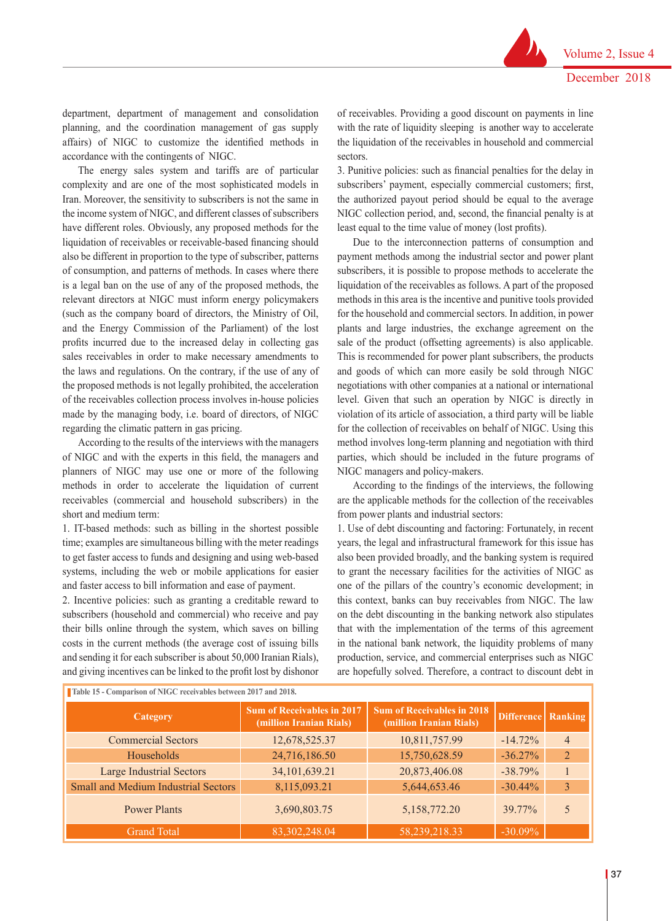department, department of management and consolidation planning, and the coordination management of gas supply affairs) of NIGC to customize the identified methods in accordance with the contingents of NIGC.

The energy sales system and tariffs are of particular complexity and are one of the most sophisticated models in Iran. Moreover, the sensitivity to subscribers is not the same in the income system of NIGC, and different classes of subscribers have different roles. Obviously, any proposed methods for the liquidation of receivables or receivable-based financing should also be different in proportion to the type of subscriber, patterns of consumption, and patterns of methods. In cases where there is a legal ban on the use of any of the proposed methods, the relevant directors at NIGC must inform energy policymakers (such as the company board of directors, the Ministry of Oil, and the Energy Commission of the Parliament) of the lost profits incurred due to the increased delay in collecting gas sales receivables in order to make necessary amendments to the laws and regulations. On the contrary, if the use of any of the proposed methods is not legally prohibited, the acceleration of the receivables collection process involves in-house policies made by the managing body, i.e. board of directors, of NIGC regarding the climatic pattern in gas pricing.

According to the results of the interviews with the managers of NIGC and with the experts in this field, the managers and planners of NIGC may use one or more of the following methods in order to accelerate the liquidation of current receivables (commercial and household subscribers) in the short and medium term:

1. IT-based methods: such as billing in the shortest possible time; examples are simultaneous billing with the meter readings to get faster access to funds and designing and using web-based systems, including the web or mobile applications for easier and faster access to bill information and ease of payment.

2. Incentive policies: such as granting a creditable reward to subscribers (household and commercial) who receive and pay their bills online through the system, which saves on billing costs in the current methods (the average cost of issuing bills and sending it for each subscriber is about 50,000 Iranian Rials), and giving incentives can be linked to the profit lost by dishonor

of receivables. Providing a good discount on payments in line with the rate of liquidity sleeping is another way to accelerate the liquidation of the receivables in household and commercial sectors.

3. Punitive policies: such as financial penalties for the delay in subscribers' payment, especially commercial customers; first, the authorized payout period should be equal to the average NIGC collection period, and, second, the financial penalty is at least equal to the time value of money (lost profits).

Due to the interconnection patterns of consumption and payment methods among the industrial sector and power plant subscribers, it is possible to propose methods to accelerate the liquidation of the receivables as follows. A part of the proposed methods in this area is the incentive and punitive tools provided for the household and commercial sectors. In addition, in power plants and large industries, the exchange agreement on the sale of the product (offsetting agreements) is also applicable. This is recommended for power plant subscribers, the products and goods of which can more easily be sold through NIGC negotiations with other companies at a national or international level. Given that such an operation by NIGC is directly in violation of its article of association, a third party will be liable for the collection of receivables on behalf of NIGC. Using this method involves long-term planning and negotiation with third parties, which should be included in the future programs of NIGC managers and policy-makers.

According to the findings of the interviews, the following are the applicable methods for the collection of the receivables from power plants and industrial sectors:

1. Use of debt discounting and factoring: Fortunately, in recent years, the legal and infrastructural framework for this issue has also been provided broadly, and the banking system is required to grant the necessary facilities for the activities of NIGC as one of the pillars of the country's economic development; in this context, banks can buy receivables from NIGC. The law on the debt discounting in the banking network also stipulates that with the implementation of the terms of this agreement in the national bank network, the liquidity problems of many production, service, and commercial enterprises such as NIGC are hopefully solved. Therefore, a contract to discount debt in

| Table 15 - Comparison of NIGC receivables between 2017 and 2018. |                                                              |                                                              |                   |                |  |  |
|------------------------------------------------------------------|--------------------------------------------------------------|--------------------------------------------------------------|-------------------|----------------|--|--|
| Category                                                         | <b>Sum of Receivables in 2017</b><br>(million Iranian Rials) | <b>Sum of Receivables in 2018</b><br>(million Iranian Rials) | <b>Difference</b> | Ranking        |  |  |
| <b>Commercial Sectors</b>                                        | 12,678,525.37                                                | 10,811,757.99                                                | $-14.72\%$        | $\overline{4}$ |  |  |
| Households                                                       | 24,716,186.50                                                | 15,750,628.59                                                | $-36.27%$         | $\overline{2}$ |  |  |
| <b>Large Industrial Sectors</b>                                  | 34, 101, 639. 21                                             | 20,873,406.08                                                | $-38.79\%$        |                |  |  |
| <b>Small and Medium Industrial Sectors</b>                       | 8,115,093.21                                                 | 5,644,653.46                                                 | $-30.44\%$        | 3              |  |  |
| <b>Power Plants</b>                                              | 3,690,803.75                                                 | 5,158,772.20                                                 | 39.77%            | 5              |  |  |
| <b>Grand Total</b>                                               | 83,302,248.04                                                | 58,239,218.33                                                | $-30.09\%$        |                |  |  |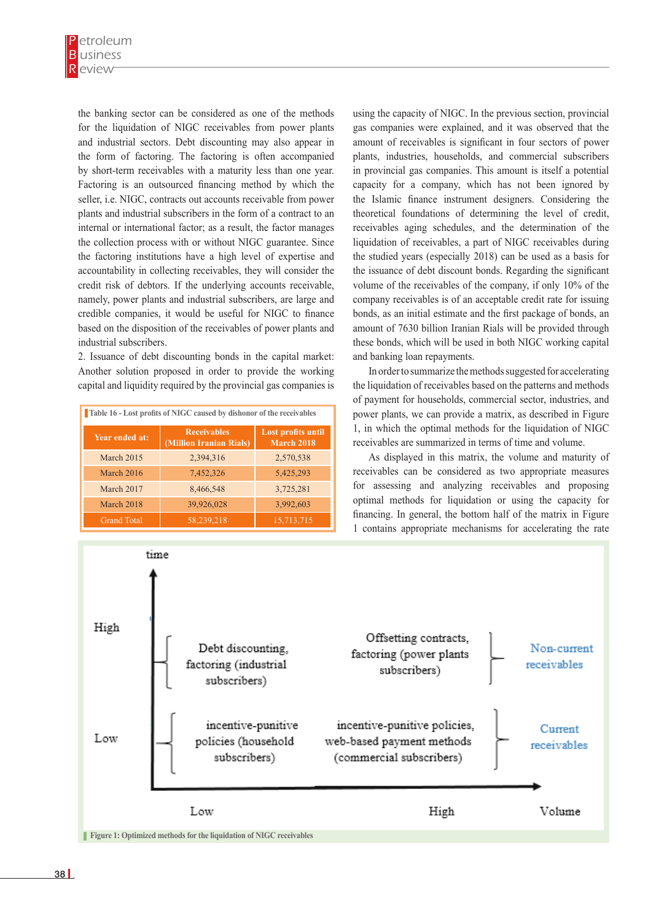the banking sector can be considered as one of the methods for the liquidation of NIGC receivables from power plants and industrial sectors. Debt discounting may also appear in the form of factoring. The factoring is often accompanied by short-term receivables with a maturity less than one year. Factoring is an outsourced financing method by which the seller, i.e. NIGC, contracts out accounts receivable from power plants and industrial subscribers in the form of a contract to an internal or international factor; as a result, the factor manages the collection process with or without NIGC guarantee. Since the factoring institutions have a high level of expertise and accountability in collecting receivables, they will consider the credit risk of debtors. If the underlying accounts receivable, namely, power plants and industrial subscribers, are large and credible companies, it would be useful for NIGC to finance based on the disposition of the receivables of power plants and industrial subscribers.

2. Issuance of debt discounting bonds in the capital market: Another solution proposed in order to provide the working capital and liquidity required by the provincial gas companies is

| Table 16 - Lost profits of NIGC caused by dishonor of the receivables |                                               |                                  |  |
|-----------------------------------------------------------------------|-----------------------------------------------|----------------------------------|--|
| Year ended at:                                                        | <b>Receivables</b><br>(Million Iranian Rials) | Lost profits until<br>March 2018 |  |
| March 2015                                                            | 2,394,316                                     | 2,570,538                        |  |
| March 2016                                                            | 7,452,326                                     | 5,425,293                        |  |
| March 2017                                                            | 8,466,548                                     | 3,725,281                        |  |
| March 2018                                                            | 39,926,028                                    | 3,992,603                        |  |
| <b>Grand Total</b>                                                    | 58,239,218                                    | 15,713,715                       |  |

using the capacity of NIGC. In the previous section, provincial gas companies were explained, and it was observed that the amount of receivables is significant in four sectors of power plants, industries, households, and commercial subscribers in provincial gas companies. This amount is itself a potential capacity for a company, which has not been ignored by the Islamic finance instrument designers. Considering the theoretical foundations of determining the level of credit, receivables aging schedules, and the determination of the liquidation of receivables, a part of NIGC receivables during the studied years (especially 2018) can be used as a basis for the issuance of debt discount bonds. Regarding the significant volume of the receivables of the company, if only 10% of the company receivables is of an acceptable credit rate for issuing bonds, as an initial estimate and the first package of bonds, an amount of 7630 billion Iranian Rials will be provided through these bonds, which will be used in both NIGC working capital and banking loan repayments.

In order to summarize the methods suggested for accelerating the liquidation of receivables based on the patterns and methods of payment for households, commercial sector, industries, and power plants, we can provide a matrix, as described in Figure 1, in which the optimal methods for the liquidation of NIGC receivables are summarized in terms of time and volume.

As displayed in this matrix, the volume and maturity of receivables can be considered as two appropriate measures for assessing and analyzing receivables and proposing optimal methods for liquidation or using the capacity for financing. In general, the bottom half of the matrix in Figure 1 contains appropriate mechanisms for accelerating the rate

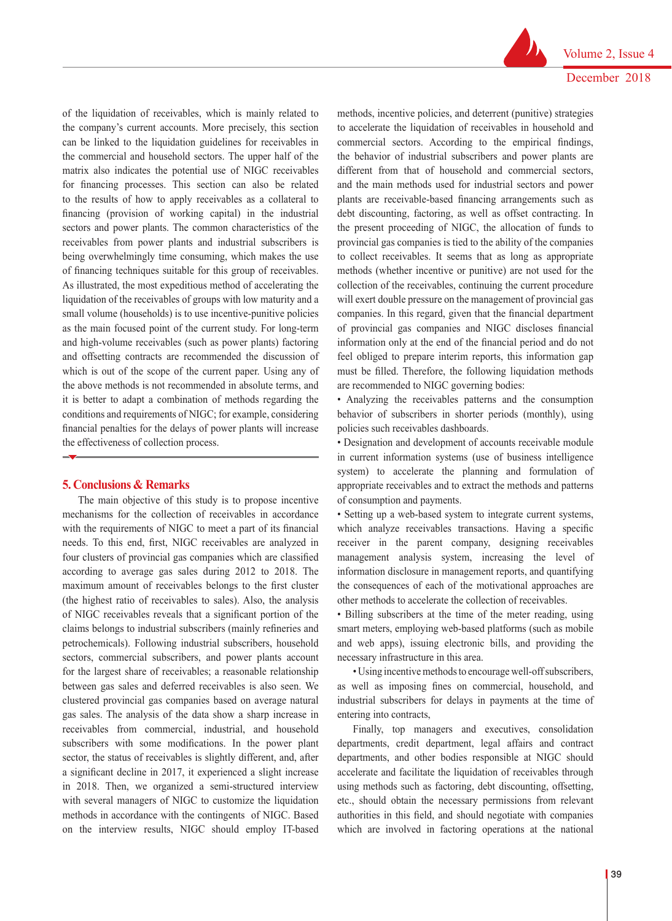Volume 2, Issue 4 December 2018

of the liquidation of receivables, which is mainly related to the company's current accounts. More precisely, this section can be linked to the liquidation guidelines for receivables in the commercial and household sectors. The upper half of the matrix also indicates the potential use of NIGC receivables for financing processes. This section can also be related to the results of how to apply receivables as a collateral to financing (provision of working capital) in the industrial sectors and power plants. The common characteristics of the receivables from power plants and industrial subscribers is being overwhelmingly time consuming, which makes the use of financing techniques suitable for this group of receivables. As illustrated, the most expeditious method of accelerating the liquidation of the receivables of groups with low maturity and a small volume (households) is to use incentive-punitive policies as the main focused point of the current study. For long-term and high-volume receivables (such as power plants) factoring and offsetting contracts are recommended the discussion of which is out of the scope of the current paper. Using any of the above methods is not recommended in absolute terms, and it is better to adapt a combination of methods regarding the conditions and requirements of NIGC; for example, considering financial penalties for the delays of power plants will increase the effectiveness of collection process.

#### **5. Conclusions & Remarks**

The main objective of this study is to propose incentive mechanisms for the collection of receivables in accordance with the requirements of NIGC to meet a part of its financial needs. To this end, first, NIGC receivables are analyzed in four clusters of provincial gas companies which are classified according to average gas sales during 2012 to 2018. The maximum amount of receivables belongs to the first cluster (the highest ratio of receivables to sales). Also, the analysis of NIGC receivables reveals that a significant portion of the claims belongs to industrial subscribers (mainly refineries and petrochemicals). Following industrial subscribers, household sectors, commercial subscribers, and power plants account for the largest share of receivables; a reasonable relationship between gas sales and deferred receivables is also seen. We clustered provincial gas companies based on average natural gas sales. The analysis of the data show a sharp increase in receivables from commercial, industrial, and household subscribers with some modifications. In the power plant sector, the status of receivables is slightly different, and, after a significant decline in 2017, it experienced a slight increase in 2018. Then, we organized a semi-structured interview with several managers of NIGC to customize the liquidation methods in accordance with the contingents of NIGC. Based on the interview results, NIGC should employ IT-based

methods, incentive policies, and deterrent (punitive) strategies to accelerate the liquidation of receivables in household and commercial sectors. According to the empirical findings, the behavior of industrial subscribers and power plants are different from that of household and commercial sectors, and the main methods used for industrial sectors and power plants are receivable-based financing arrangements such as debt discounting, factoring, as well as offset contracting. In the present proceeding of NIGC, the allocation of funds to provincial gas companies is tied to the ability of the companies to collect receivables. It seems that as long as appropriate methods (whether incentive or punitive) are not used for the collection of the receivables, continuing the current procedure will exert double pressure on the management of provincial gas companies. In this regard, given that the financial department of provincial gas companies and NIGC discloses financial information only at the end of the financial period and do not feel obliged to prepare interim reports, this information gap must be filled. Therefore, the following liquidation methods are recommended to NIGC governing bodies:

• Analyzing the receivables patterns and the consumption behavior of subscribers in shorter periods (monthly), using policies such receivables dashboards.

• Designation and development of accounts receivable module in current information systems (use of business intelligence system) to accelerate the planning and formulation of appropriate receivables and to extract the methods and patterns of consumption and payments.

• Setting up a web-based system to integrate current systems, which analyze receivables transactions. Having a specific receiver in the parent company, designing receivables management analysis system, increasing the level of information disclosure in management reports, and quantifying the consequences of each of the motivational approaches are other methods to accelerate the collection of receivables.

• Billing subscribers at the time of the meter reading, using smart meters, employing web-based platforms (such as mobile and web apps), issuing electronic bills, and providing the necessary infrastructure in this area.

• Using incentive methods to encourage well-off subscribers, as well as imposing fines on commercial, household, and industrial subscribers for delays in payments at the time of entering into contracts,

Finally, top managers and executives, consolidation departments, credit department, legal affairs and contract departments, and other bodies responsible at NIGC should accelerate and facilitate the liquidation of receivables through using methods such as factoring, debt discounting, offsetting, etc., should obtain the necessary permissions from relevant authorities in this field, and should negotiate with companies which are involved in factoring operations at the national